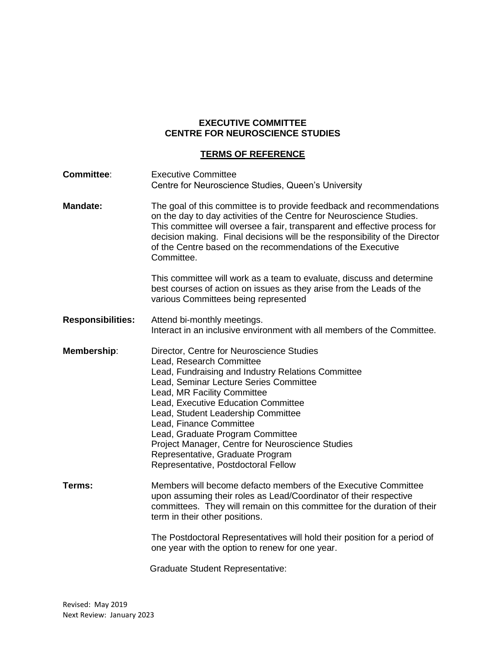## **EXECUTIVE COMMITTEE CENTRE FOR NEUROSCIENCE STUDIES**

## **TERMS OF REFERENCE**

| <b>Committee:</b>        | <b>Executive Committee</b><br>Centre for Neuroscience Studies, Queen's University                                                                                                                                                                                                                                                                                                                                                                                               |
|--------------------------|---------------------------------------------------------------------------------------------------------------------------------------------------------------------------------------------------------------------------------------------------------------------------------------------------------------------------------------------------------------------------------------------------------------------------------------------------------------------------------|
| <b>Mandate:</b>          | The goal of this committee is to provide feedback and recommendations<br>on the day to day activities of the Centre for Neuroscience Studies.<br>This committee will oversee a fair, transparent and effective process for<br>decision making. Final decisions will be the responsibility of the Director<br>of the Centre based on the recommendations of the Executive<br>Committee.                                                                                          |
|                          | This committee will work as a team to evaluate, discuss and determine<br>best courses of action on issues as they arise from the Leads of the<br>various Committees being represented                                                                                                                                                                                                                                                                                           |
| <b>Responsibilities:</b> | Attend bi-monthly meetings.<br>Interact in an inclusive environment with all members of the Committee.                                                                                                                                                                                                                                                                                                                                                                          |
| Membership:              | Director, Centre for Neuroscience Studies<br>Lead, Research Committee<br>Lead, Fundraising and Industry Relations Committee<br>Lead, Seminar Lecture Series Committee<br>Lead, MR Facility Committee<br>Lead, Executive Education Committee<br>Lead, Student Leadership Committee<br>Lead, Finance Committee<br>Lead, Graduate Program Committee<br>Project Manager, Centre for Neuroscience Studies<br>Representative, Graduate Program<br>Representative, Postdoctoral Fellow |
| Terms:                   | Members will become defacto members of the Executive Committee<br>upon assuming their roles as Lead/Coordinator of their respective<br>committees. They will remain on this committee for the duration of their<br>term in their other positions.                                                                                                                                                                                                                               |
|                          | The Postdoctoral Representatives will hold their position for a period of<br>one year with the option to renew for one year.                                                                                                                                                                                                                                                                                                                                                    |
|                          |                                                                                                                                                                                                                                                                                                                                                                                                                                                                                 |

Graduate Student Representative: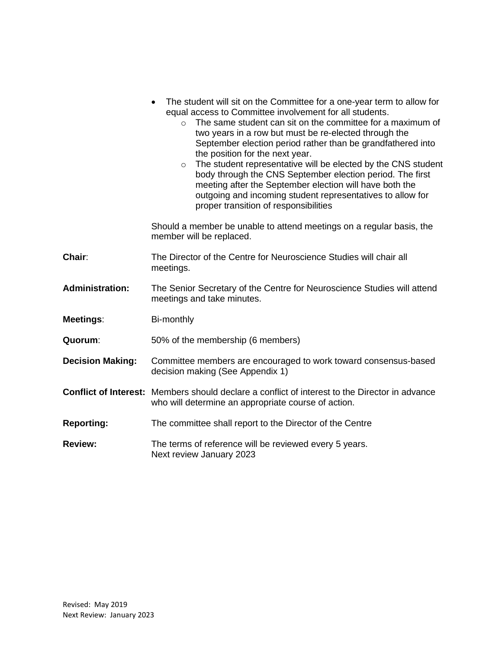|                         | The student will sit on the Committee for a one-year term to allow for<br>equal access to Committee involvement for all students.<br>The same student can sit on the committee for a maximum of<br>$\Omega$<br>two years in a row but must be re-elected through the<br>September election period rather than be grandfathered into<br>the position for the next year.<br>The student representative will be elected by the CNS student<br>$\circ$<br>body through the CNS September election period. The first<br>meeting after the September election will have both the<br>outgoing and incoming student representatives to allow for<br>proper transition of responsibilities |
|-------------------------|-----------------------------------------------------------------------------------------------------------------------------------------------------------------------------------------------------------------------------------------------------------------------------------------------------------------------------------------------------------------------------------------------------------------------------------------------------------------------------------------------------------------------------------------------------------------------------------------------------------------------------------------------------------------------------------|
|                         | Should a member be unable to attend meetings on a regular basis, the<br>member will be replaced.                                                                                                                                                                                                                                                                                                                                                                                                                                                                                                                                                                                  |
| Chair:                  | The Director of the Centre for Neuroscience Studies will chair all<br>meetings.                                                                                                                                                                                                                                                                                                                                                                                                                                                                                                                                                                                                   |
| <b>Administration:</b>  | The Senior Secretary of the Centre for Neuroscience Studies will attend<br>meetings and take minutes.                                                                                                                                                                                                                                                                                                                                                                                                                                                                                                                                                                             |
| Meetings:               | Bi-monthly                                                                                                                                                                                                                                                                                                                                                                                                                                                                                                                                                                                                                                                                        |
| Quorum:                 | 50% of the membership (6 members)                                                                                                                                                                                                                                                                                                                                                                                                                                                                                                                                                                                                                                                 |
| <b>Decision Making:</b> | Committee members are encouraged to work toward consensus-based<br>decision making (See Appendix 1)                                                                                                                                                                                                                                                                                                                                                                                                                                                                                                                                                                               |
|                         | <b>Conflict of Interest:</b> Members should declare a conflict of interest to the Director in advance<br>who will determine an appropriate course of action.                                                                                                                                                                                                                                                                                                                                                                                                                                                                                                                      |
| <b>Reporting:</b>       | The committee shall report to the Director of the Centre                                                                                                                                                                                                                                                                                                                                                                                                                                                                                                                                                                                                                          |
| <b>Review:</b>          | The terms of reference will be reviewed every 5 years.<br>Next review January 2023                                                                                                                                                                                                                                                                                                                                                                                                                                                                                                                                                                                                |